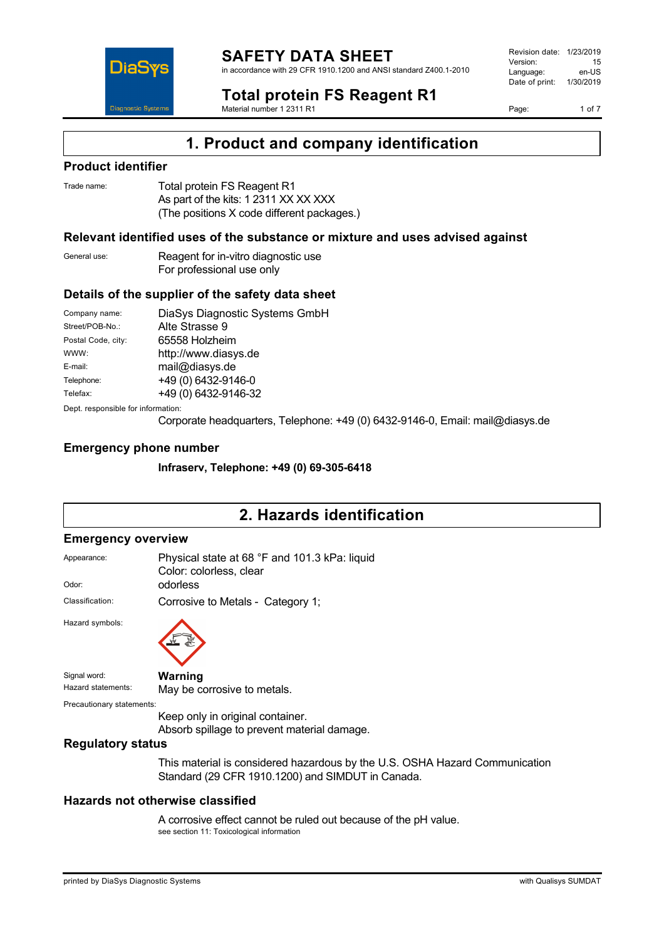

in accordance with 29 CFR 1910.1200 and ANSI standard Z400.1-2010

Revision date: 1/23/2019 Version: 15<br>Language: en-LIS Language: Date of print: 1/30/2019

**Total protein FS Reagent R1** Material number 1 2311 R1

Page: 1 of 7

# **1. Product and company identification**

### **Product identifier**

DiaS

**Diagnostic System** 

| Trade name: | Total protein FS Reagent R1                |
|-------------|--------------------------------------------|
|             | As part of the kits: 1 2311 XX XX XXX      |
|             | (The positions X code different packages.) |

### **Relevant identified uses of the substance or mixture and uses advised against**

General use: Reagent for in-vitro diagnostic use For professional use only

### **Details of the supplier of the safety data sheet**

| Company name:                      | DiaSys Diagnostic Systems GmbH |
|------------------------------------|--------------------------------|
| Street/POB-No.:                    | Alte Strasse 9                 |
| Postal Code, city:                 | 65558 Holzheim                 |
| WWW:                               | http://www.diasys.de           |
| E-mail:                            | mail@diasys.de                 |
| Telephone:                         | +49 (0) 6432-9146-0            |
| Telefax:                           | +49 (0) 6432-9146-32           |
| Dept. responsible for information: |                                |

Corporate headquarters, Telephone: +49 (0) 6432-9146-0, Email: mail@diasys.de

### **Emergency phone number**

**Infraserv, Telephone: +49 (0) 69-305-6418**

### **2. Hazards identification**

#### **Emergency overview**

| Appearance:               | Physical state at 68 °F and 101.3 kPa: liquid<br>Color: colorless, clear        |
|---------------------------|---------------------------------------------------------------------------------|
| Odor:                     | odorless                                                                        |
| Classification:           | Corrosive to Metals - Category 1;                                               |
| Hazard symbols:           |                                                                                 |
| Signal word:              | Warning                                                                         |
| Hazard statements:        | May be corrosive to metals.                                                     |
| Precautionary statements: |                                                                                 |
|                           | Keep only in original container.<br>Absorb spillage to prevent material damage. |
| <b>Regulatory status</b>  |                                                                                 |

This material is considered hazardous by the U.S. OSHA Hazard Communication Standard (29 CFR 1910.1200) and SIMDUT in Canada.

### **Hazards not otherwise classified**

A corrosive effect cannot be ruled out because of the pH value. see section 11: Toxicological information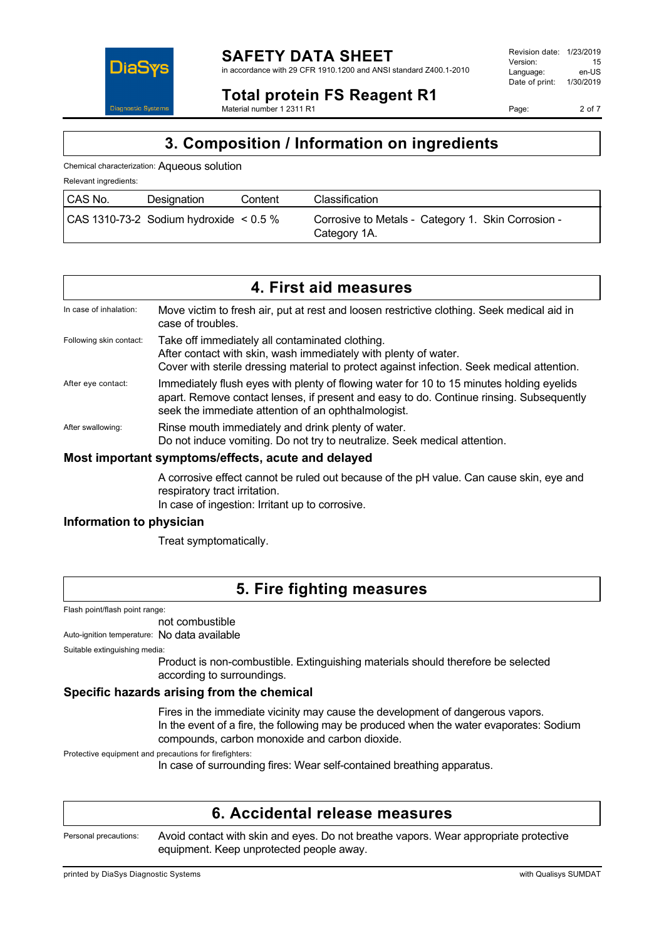

in accordance with 29 CFR 1910.1200 and ANSI standard Z400.1-2010

Revision date: 1/23/2019 Version: 15<br>Language: en-LIS Language: Date of print: 1/30/2019

Page: 2 of 7

# DiaS **Diagnostic Systen**

#### **Total protein FS Reagent R1** Material number 1 2311 R1

**3. Composition / Information on ingredients**

Chemical characterization: Aqueous solution

Relevant ingredients:

| CAS No. | Designation                                     | Content | Classification                                                     |
|---------|-------------------------------------------------|---------|--------------------------------------------------------------------|
|         | $ $ CAS 1310-73-2 Sodium hydroxide $\leq$ 0.5 % |         | Corrosive to Metals - Category 1. Skin Corrosion -<br>Category 1A. |

| 4. First aid measures   |                                                                                                                                                                                                                                            |  |
|-------------------------|--------------------------------------------------------------------------------------------------------------------------------------------------------------------------------------------------------------------------------------------|--|
| In case of inhalation:  | Move victim to fresh air, put at rest and loosen restrictive clothing. Seek medical aid in<br>case of troubles.                                                                                                                            |  |
| Following skin contact: | Take off immediately all contaminated clothing.<br>After contact with skin, wash immediately with plenty of water.<br>Cover with sterile dressing material to protect against infection. Seek medical attention.                           |  |
| After eye contact:      | Immediately flush eyes with plenty of flowing water for 10 to 15 minutes holding eyelids<br>apart. Remove contact lenses, if present and easy to do. Continue rinsing. Subsequently<br>seek the immediate attention of an ophthalmologist. |  |
| After swallowing:       | Rinse mouth immediately and drink plenty of water.<br>Do not induce vomiting. Do not try to neutralize. Seek medical attention.                                                                                                            |  |

### **Most important symptoms/effects, acute and delayed**

A corrosive effect cannot be ruled out because of the pH value. Can cause skin, eye and respiratory tract irritation.

In case of ingestion: Irritant up to corrosive.

### **Information to physician**

Treat symptomatically.

### **5. Fire fighting measures**

Flash point/flash point range:

not combustible

Auto-ignition temperature: No data available

Suitable extinguishing media:

Product is non-combustible. Extinguishing materials should therefore be selected according to surroundings.

### **Specific hazards arising from the chemical**

Fires in the immediate vicinity may cause the development of dangerous vapors. In the event of a fire, the following may be produced when the water evaporates: Sodium compounds, carbon monoxide and carbon dioxide.

Protective equipment and precautions for firefighters:

In case of surrounding fires: Wear self-contained breathing apparatus.

## **6. Accidental release measures**

Personal precautions: Avoid contact with skin and eyes. Do not breathe vapors. Wear appropriate protective equipment. Keep unprotected people away.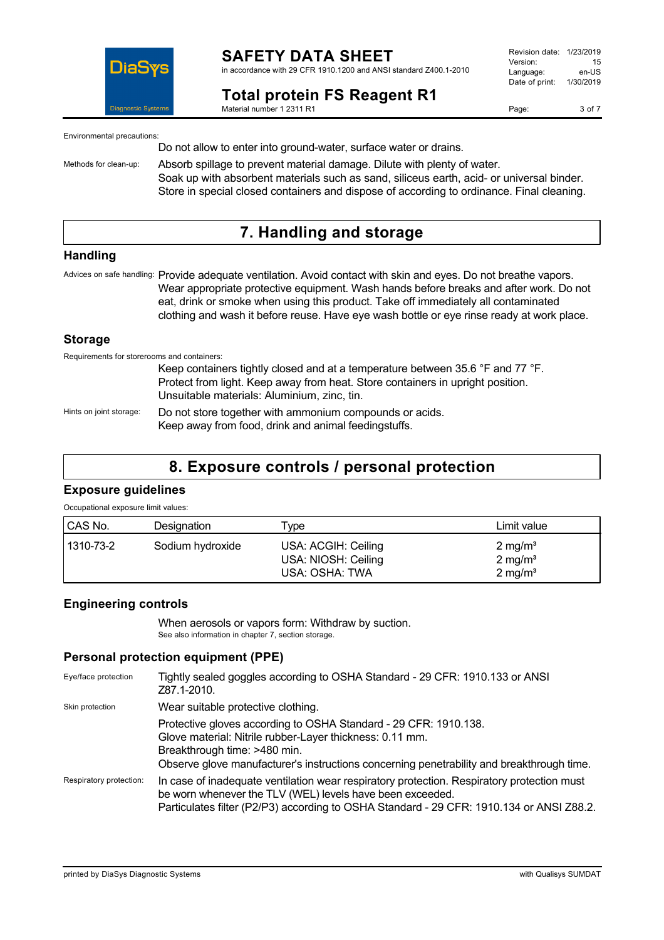

#### **SAFETY DATA SHEET** in accordance with 29 CFR 1910.1200 and ANSI standard Z400.1-2010

**Total protein FS Reagent R1** Material number 1 2311 R1

Page: 3 of 7

Environmental precautions:

Do not allow to enter into ground-water, surface water or drains.

Methods for clean-up: Absorb spillage to prevent material damage. Dilute with plenty of water. Soak up with absorbent materials such as sand, siliceus earth, acid- or universal binder. Store in special closed containers and dispose of according to ordinance. Final cleaning.

### **7. Handling and storage**

### **Handling**

Advices on safe handling: Provide adequate ventilation. Avoid contact with skin and eyes. Do not breathe vapors. Wear appropriate protective equipment. Wash hands before breaks and after work. Do not eat, drink or smoke when using this product. Take off immediately all contaminated clothing and wash it before reuse. Have eye wash bottle or eye rinse ready at work place.

### **Storage**

Requirements for storerooms and containers:

Keep containers tightly closed and at a temperature between 35.6 °F and 77 °F. Protect from light. Keep away from heat. Store containers in upright position. Unsuitable materials: Aluminium, zinc, tin.

Hints on joint storage: Do not store together with ammonium compounds or acids. Keep away from food, drink and animal feedingstuffs.

### **8. Exposure controls / personal protection**

### **Exposure guidelines**

Occupational exposure limit values:

| CAS No.   | Designation      | ype                                                          | Limit value                                                    |
|-----------|------------------|--------------------------------------------------------------|----------------------------------------------------------------|
| 1310-73-2 | Sodium hydroxide | USA: ACGIH: Ceiling<br>USA: NIOSH: Ceiling<br>USA: OSHA: TWA | $2 \text{ mg/m}^3$<br>$2 \text{ mg/m}^3$<br>$2 \text{ mg/m}^3$ |

### **Engineering controls**

When aerosols or vapors form: Withdraw by suction. See also information in chapter 7, section storage.

### **Personal protection equipment (PPE)**

| Eye/face protection     | Tightly sealed goggles according to OSHA Standard - 29 CFR: 1910.133 or ANSI<br>Z87.1-2010.                                                                                                                                                               |
|-------------------------|-----------------------------------------------------------------------------------------------------------------------------------------------------------------------------------------------------------------------------------------------------------|
| Skin protection         | Wear suitable protective clothing.                                                                                                                                                                                                                        |
|                         | Protective gloves according to OSHA Standard - 29 CFR: 1910.138.<br>Glove material: Nitrile rubber-Layer thickness: 0.11 mm.<br>Breakthrough time: >480 min.<br>Observe glove manufacturer's instructions concerning penetrability and breakthrough time. |
| Respiratory protection: | In case of inadequate ventilation wear respiratory protection. Respiratory protection must<br>be worn whenever the TLV (WEL) levels have been exceeded.<br>Particulates filter (P2/P3) according to OSHA Standard - 29 CFR: 1910.134 or ANSI Z88.2.       |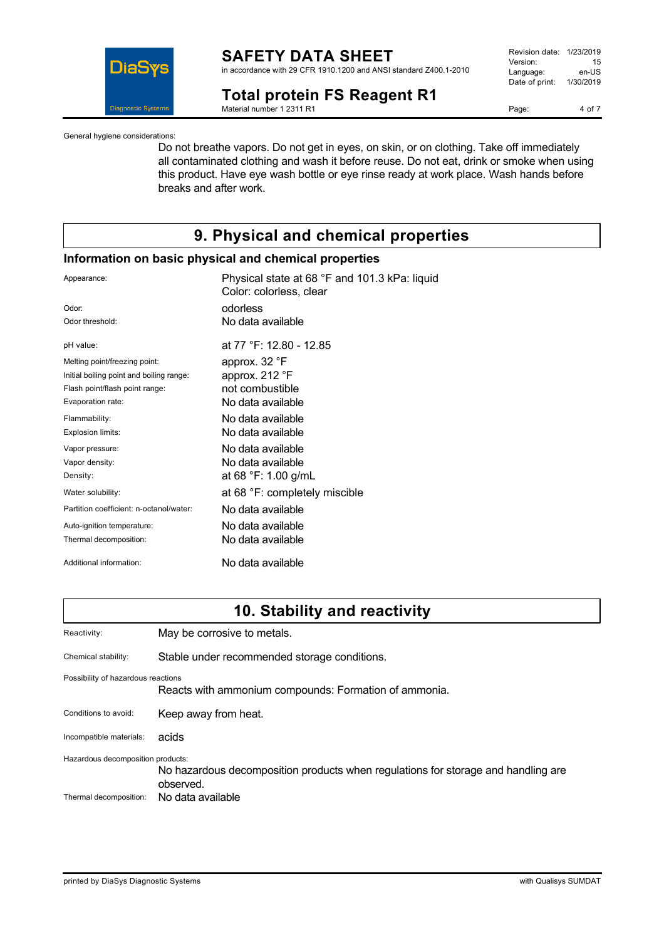

in accordance with 29 CFR 1910.1200 and ANSI standard Z400.1-2010

**Total protein FS Reagent R1**

Material number 1 2311 R1

| Revision date: | 1/23/2019 |
|----------------|-----------|
| Version:       | 15        |
| Language:      | en-US     |
| Date of print: | 1/30/2019 |
|                |           |

Page: 4 of 7

General hygiene considerations:

Do not breathe vapors. Do not get in eyes, on skin, or on clothing. Take off immediately all contaminated clothing and wash it before reuse. Do not eat, drink or smoke when using this product. Have eye wash bottle or eye rinse ready at work place. Wash hands before breaks and after work.

### **9. Physical and chemical properties**

### **Information on basic physical and chemical properties**

| Appearance:                              | Physical state at 68 °F and 101.3 kPa: liquid<br>Color: colorless, clear |
|------------------------------------------|--------------------------------------------------------------------------|
| Odor:                                    | odorless                                                                 |
| Odor threshold:                          | No data available                                                        |
| pH value:                                | at 77 °F: 12.80 - 12.85                                                  |
| Melting point/freezing point:            | approx. 32 °F                                                            |
| Initial boiling point and boiling range: | approx. 212 °F                                                           |
| Flash point/flash point range:           | not combustible                                                          |
| Evaporation rate:                        | No data available                                                        |
| Flammability:                            | No data available                                                        |
| Explosion limits:                        | No data available                                                        |
| Vapor pressure:                          | No data available                                                        |
| Vapor density:                           | No data available                                                        |
| Density:                                 | at 68 °F: 1.00 g/mL                                                      |
| Water solubility:                        | at 68 °F: completely miscible                                            |
| Partition coefficient: n-octanol/water:  | No data available                                                        |
| Auto-ignition temperature:               | No data available                                                        |
| Thermal decomposition:                   | No data available                                                        |
| Additional information:                  | No data available                                                        |

### **10. Stability and reactivity**

| Reactivity:                                                 | May be corrosive to metals.                                                                                         |
|-------------------------------------------------------------|---------------------------------------------------------------------------------------------------------------------|
| Chemical stability:                                         | Stable under recommended storage conditions.                                                                        |
| Possibility of hazardous reactions                          | Reacts with ammonium compounds: Formation of ammonia.                                                               |
| Conditions to avoid:                                        | Keep away from heat.                                                                                                |
| Incompatible materials:                                     | acids                                                                                                               |
| Hazardous decomposition products:<br>Thermal decomposition: | No hazardous decomposition products when regulations for storage and handling are<br>observed.<br>No data available |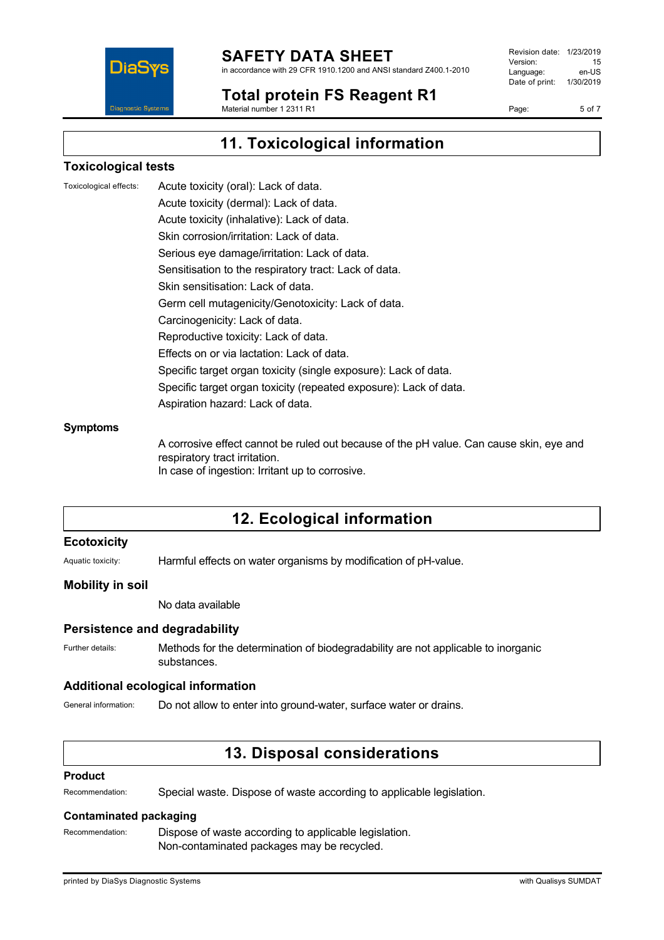

in accordance with 29 CFR 1910.1200 and ANSI standard Z400.1-2010

#### **Total protein FS Reagent R1** Material number 1 2311 R1

Revision date: 1/23/2019 Version: 15<br>Language: en-LIS Language: Date of print: 1/30/2019

Page: 5 of 7

**11. Toxicological information**

### **Toxicological tests**

Toxicological effects: Acute toxicity (oral): Lack of data.

Acute toxicity (dermal): Lack of data. Acute toxicity (inhalative): Lack of data. Skin corrosion/irritation: Lack of data. Serious eye damage/irritation: Lack of data. Sensitisation to the respiratory tract: Lack of data. Skin sensitisation: Lack of data. Germ cell mutagenicity/Genotoxicity: Lack of data. Carcinogenicity: Lack of data. Reproductive toxicity: Lack of data. Effects on or via lactation: Lack of data. Specific target organ toxicity (single exposure): Lack of data. Specific target organ toxicity (repeated exposure): Lack of data. Aspiration hazard: Lack of data.

#### **Symptoms**

A corrosive effect cannot be ruled out because of the pH value. Can cause skin, eye and respiratory tract irritation. In case of ingestion: Irritant up to corrosive.

### **12. Ecological information**

#### **Ecotoxicity**

Aquatic toxicity: Harmful effects on water organisms by modification of pH-value.

#### **Mobility in soil**

No data available

#### **Persistence and degradability**

Further details: Methods for the determination of biodegradability are not applicable to inorganic substances.

#### **Additional ecological information**

General information: Do not allow to enter into ground-water, surface water or drains.

### **13. Disposal considerations**

#### **Product**

Recommendation: Special waste. Dispose of waste according to applicable legislation.

### **Contaminated packaging**

Recommendation: Dispose of waste according to applicable legislation. Non-contaminated packages may be recycled.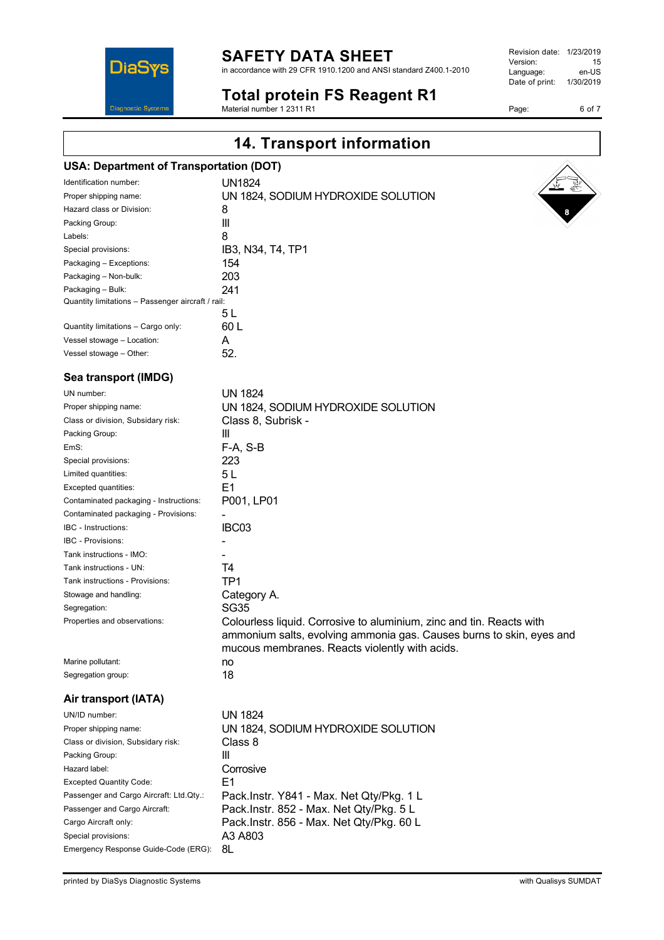in accordance with 29 CFR 1910.1200 and ANSI standard Z400.1-2010

### **Total protein FS Reagent R1**

Material number 1 2311 R1

| Revision date: | 1/23/2019 |
|----------------|-----------|
| Version:       | 15        |
| Language:      | en-US     |
| Date of print: | 1/30/2019 |

Page: 6 of 7

Identification number: UN1824

| Proper shipping name:                             | UN 1824, SODIUM HYDROXIDE SOLUTION                                   |
|---------------------------------------------------|----------------------------------------------------------------------|
| Hazard class or Division:                         | 8                                                                    |
| Packing Group:                                    | $\ensuremath{\mathsf{III}}\xspace$                                   |
| Labels:                                           | 8                                                                    |
| Special provisions:                               | IB3, N34, T4, TP1                                                    |
| Packaging - Exceptions:                           | 154                                                                  |
| Packaging - Non-bulk:                             | 203                                                                  |
| Packaging - Bulk:                                 | 241                                                                  |
| Quantity limitations - Passenger aircraft / rail: |                                                                      |
|                                                   | 5L                                                                   |
| Quantity limitations - Cargo only:                | 60L                                                                  |
| Vessel stowage - Location:                        | A                                                                    |
| Vessel stowage - Other:                           | 52.                                                                  |
| Sea transport (IMDG)                              |                                                                      |
| UN number:                                        | <b>UN 1824</b>                                                       |
| Proper shipping name:                             | UN 1824, SODIUM HYDROXIDE SOLUTION                                   |
| Class or division, Subsidary risk:                | Class 8, Subrisk -                                                   |
| Packing Group:                                    | III                                                                  |
| EmS:                                              | $F-A, S-B$                                                           |
| Special provisions:                               | 223                                                                  |
| Limited quantities:                               | 5L                                                                   |
| Excepted quantities:                              | E1                                                                   |
| Contaminated packaging - Instructions:            | P001, LP01                                                           |
| Contaminated packaging - Provisions:              |                                                                      |
| IBC - Instructions:                               | IBC03                                                                |
| IBC - Provisions:                                 |                                                                      |
| Tank instructions - IMO:                          |                                                                      |
|                                                   |                                                                      |
| Tank instructions - UN:                           | Т4                                                                   |
| Tank instructions - Provisions:                   | TP1                                                                  |
| Stowage and handling:                             | Category A.                                                          |
| Segregation:                                      | <b>SG35</b>                                                          |
| Properties and observations:                      | Colourless liquid. Corrosive to aluminium, zinc and tin. Reacts with |
|                                                   | ammonium salts, evolving ammonia gas. Causes burns to skin, eyes and |
|                                                   | mucous membranes. Reacts violently with acids.                       |
| Marine pollutant:                                 | no                                                                   |
| Segregation group:                                | 18                                                                   |
| Air transport (IATA)                              |                                                                      |
| UN/ID number:                                     | <b>UN 1824</b>                                                       |
| Proper shipping name:                             | UN 1824, SODIUM HYDROXIDE SOLUTION                                   |
| Class or division, Subsidary risk:                | Class 8                                                              |
| Packing Group:                                    | Ш                                                                    |
| Hazard label:                                     | Corrosive                                                            |
| <b>Excepted Quantity Code:</b>                    | E1                                                                   |
| Passenger and Cargo Aircraft: Ltd.Qty.:           | Pack.Instr. Y841 - Max. Net Qty/Pkg. 1 L                             |
| Passenger and Cargo Aircraft:                     | Pack.Instr. 852 - Max. Net Qty/Pkg. 5 L                              |
| Cargo Aircraft only:                              | Pack.Instr. 856 - Max. Net Qty/Pkg. 60 L                             |
| Special provisions:                               | A3 A803                                                              |
| Emergency Response Guide-Code (ERG):              | 8L                                                                   |
|                                                   |                                                                      |
|                                                   |                                                                      |
| printed by DiaSys Diagnostic Systems              | with Qualisys SUMDAT                                                 |

# **14. Transport information USA: Department of Transportation (DOT)**